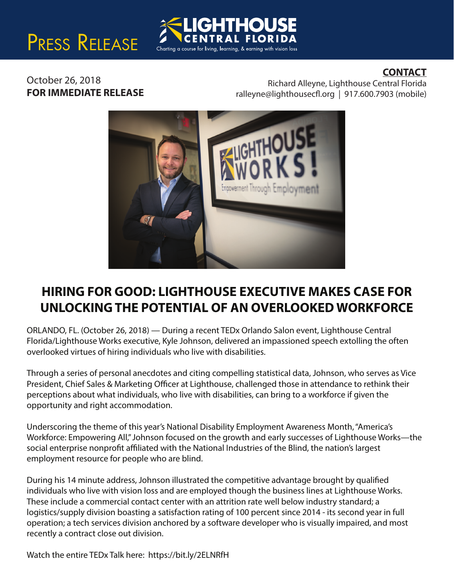# PRESS RELEASE



### **CONTACT**

October 26, 2018 **FOR IMMEDIATE RELEASE**

Richard Alleyne, Lighthouse Central Florida ralleyne@lighthousecfl.org | 917.600.7903 (mobile)



### **HIRING FOR GOOD: LIGHTHOUSE EXECUTIVE MAKES CASE FOR UNLOCKING THE POTENTIAL OF AN OVERLOOKED WORKFORCE**

ORLANDO, FL. (October 26, 2018) — During a recent TEDx Orlando Salon event, Lighthouse Central Florida/Lighthouse Works executive, Kyle Johnson, delivered an impassioned speech extolling the often overlooked virtues of hiring individuals who live with disabilities.

Through a series of personal anecdotes and citing compelling statistical data, Johnson, who serves as Vice President, Chief Sales & Marketing Officer at Lighthouse, challenged those in attendance to rethink their perceptions about what individuals, who live with disabilities, can bring to a workforce if given the opportunity and right accommodation.

Underscoring the theme of this year's National Disability Employment Awareness Month, "America's Workforce: Empowering All," Johnson focused on the growth and early successes of Lighthouse Works—the social enterprise nonprofit affiliated with the National Industries of the Blind, the nation's largest employment resource for people who are blind.

During his 14 minute address, Johnson illustrated the competitive advantage brought by qualified individuals who live with vision loss and are employed though the business lines at Lighthouse Works. These include a commercial contact center with an attrition rate well below industry standard; a logistics/supply division boasting a satisfaction rating of 100 percent since 2014 - its second year in full operation; a tech services division anchored by a software developer who is visually impaired, and most recently a contract close out division.

Watch the entire TEDx Talk here: https://bit.ly/2ELNRfH